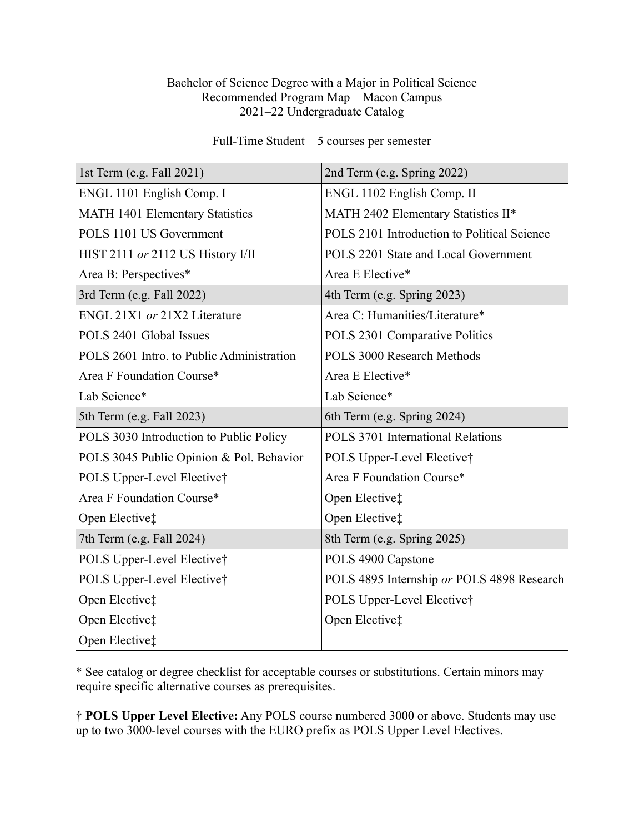## Bachelor of Science Degree with a Major in Political Science Recommended Program Map – Macon Campus 2021–22 Undergraduate Catalog

Full-Time Student – 5 courses per semester

| 1st Term (e.g. Fall 2021)                 | 2nd Term (e.g. Spring 2022)                 |
|-------------------------------------------|---------------------------------------------|
| ENGL 1101 English Comp. I                 | ENGL 1102 English Comp. II                  |
| MATH 1401 Elementary Statistics           | MATH 2402 Elementary Statistics II*         |
| POLS 1101 US Government                   | POLS 2101 Introduction to Political Science |
| HIST 2111 or 2112 US History I/II         | POLS 2201 State and Local Government        |
| Area B: Perspectives*                     | Area E Elective*                            |
| 3rd Term (e.g. Fall 2022)                 | 4th Term (e.g. Spring 2023)                 |
| ENGL 21X1 or 21X2 Literature              | Area C: Humanities/Literature*              |
| POLS 2401 Global Issues                   | POLS 2301 Comparative Politics              |
| POLS 2601 Intro. to Public Administration | POLS 3000 Research Methods                  |
| Area F Foundation Course*                 | Area E Elective*                            |
| Lab Science*                              | Lab Science*                                |
| 5th Term (e.g. Fall 2023)                 | 6th Term (e.g. Spring 2024)                 |
| POLS 3030 Introduction to Public Policy   | POLS 3701 International Relations           |
| POLS 3045 Public Opinion & Pol. Behavior  | POLS Upper-Level Elective†                  |
| POLS Upper-Level Elective†                | Area F Foundation Course*                   |
| Area F Foundation Course*                 | Open Elective‡                              |
| Open Elective‡                            | Open Elective‡                              |
| 7th Term (e.g. Fall 2024)                 | 8th Term (e.g. Spring 2025)                 |
| POLS Upper-Level Elective†                | POLS 4900 Capstone                          |
| POLS Upper-Level Elective†                | POLS 4895 Internship or POLS 4898 Research  |
| Open Elective‡                            | POLS Upper-Level Elective†                  |
| Open Elective‡                            | Open Elective‡                              |
| Open Elective‡                            |                                             |

\* See catalog or degree checklist for acceptable courses or substitutions. Certain minors may require specific alternative courses as prerequisites.

† **POLS Upper Level Elective:** Any POLS course numbered 3000 or above. Students may use up to two 3000-level courses with the EURO prefix as POLS Upper Level Electives.